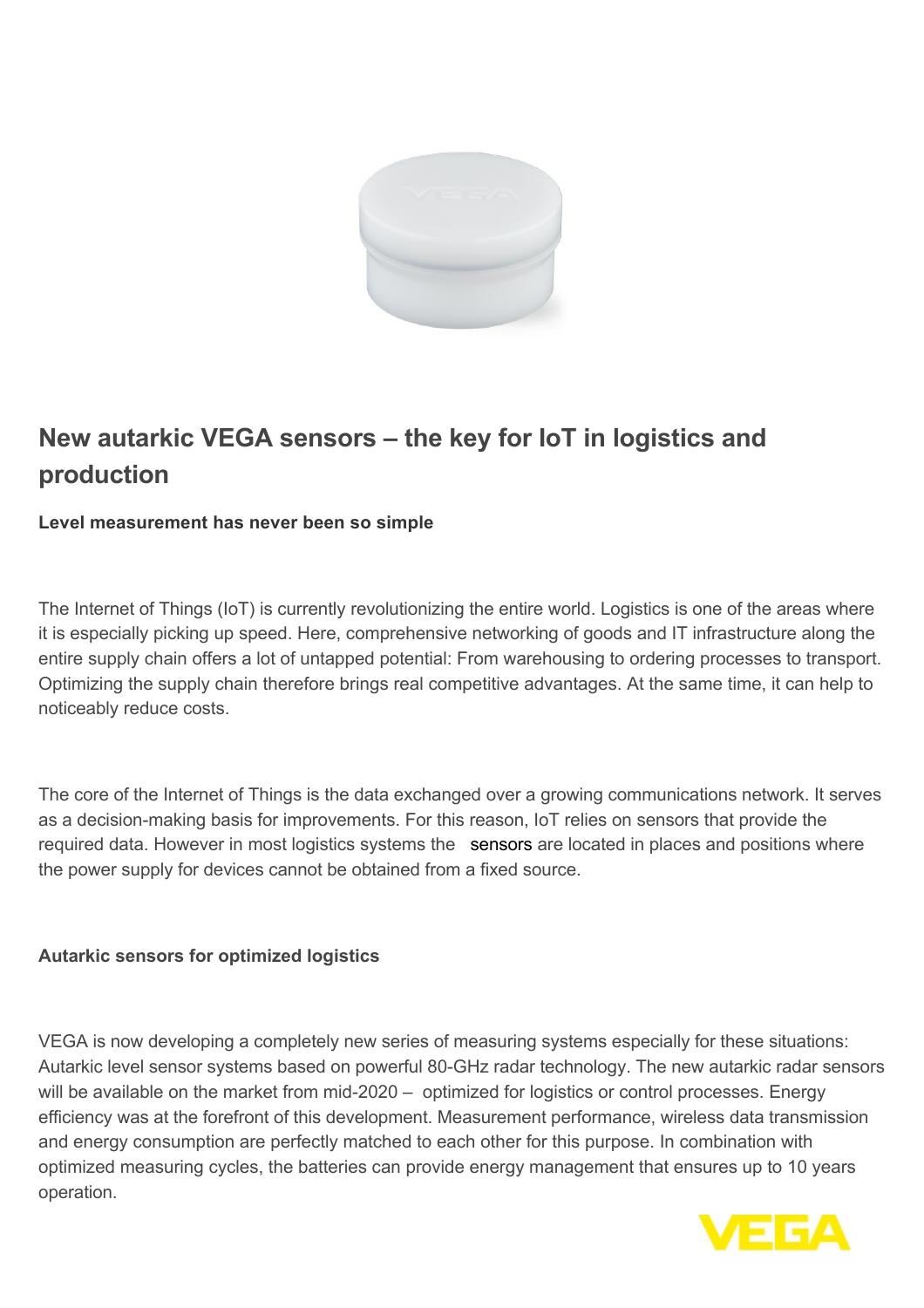

# **New autarkic VEGA sensors – the key for IoT in logistics and production**

## **Level measurement has never been so simple**

The Internet of Things (IoT) is currently revolutionizing the entire world. Logistics is one of the areas where it is especially picking up speed. Here, comprehensive networking of goods and IT infrastructure along the entire supply chain offers a lot of untapped potential: From warehousing to ordering processes to transport. Optimizing the supply chain therefore brings real competitive advantages. At the same time, it can help to noticeably reduce costs.

The core of the Internet of Things is the data exchanged over a growing communications network. It serves as a decision-making basis for improvements. For this reason, IoT relies on sensors that provide the required data. However in most logistics systems the [sensors](https://www.lead-innovation.com/blog/wie-sensorik-unseren-alltag-erleichtert) are located in places and positions where the power supply for devices cannot be obtained from a fixed source.

## **Autarkic sensors for optimized logistics**

VEGA is now developing a completely new series of measuring systems especially for these situations: Autarkic level sensor systems based on powerful 80-GHz radar technology. The new autarkic radar sensors will be available on the market from mid-2020 – optimized for logistics or control processes. Energy efficiency was at the forefront of this development. Measurement performance, wireless data transmission and energy consumption are perfectly matched to each other for this purpose. In combination with optimized measuring cycles, the batteries can provide energy management that ensures up to 10 years operation.